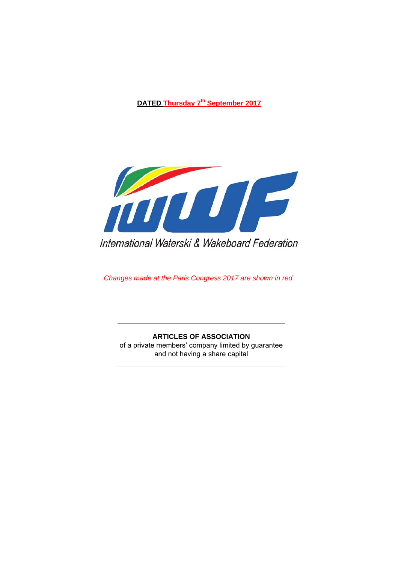**DATED Thursday 7th September 2017** 



International Waterski & Wakeboard Federation

*Changes made at the Paris Congress 2017 are shown in red.* 

**ARTICLES OF ASSOCIATION**  of a private members' company limited by guarantee and not having a share capital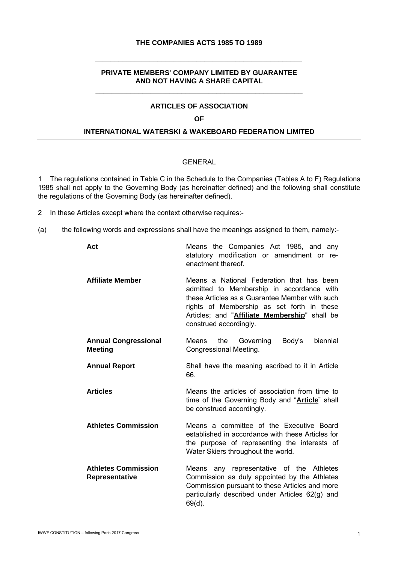### **THE COMPANIES ACTS 1985 TO 1989**

**\_\_\_\_\_\_\_\_\_\_\_\_\_\_\_\_\_\_\_\_\_\_\_\_\_\_\_\_\_\_\_\_\_\_\_\_\_\_\_\_\_\_\_\_\_\_\_\_\_\_\_\_\_** 

### **PRIVATE MEMBERS' COMPANY LIMITED BY GUARANTEE AND NOT HAVING A SHARE CAPITAL**  \_\_\_\_\_\_\_\_\_\_\_\_\_\_\_\_\_\_\_\_\_\_\_\_\_\_\_\_\_\_\_\_\_\_\_\_\_\_\_\_\_\_\_\_\_\_\_\_\_\_\_\_\_

### **ARTICLES OF ASSOCIATION**

#### **OF**

#### **INTERNATIONAL WATERSKI & WAKEBOARD FEDERATION LIMITED**

#### GENERAL

1 The regulations contained in Table C in the Schedule to the Companies (Tables A to F) Regulations 1985 shall not apply to the Governing Body (as hereinafter defined) and the following shall constitute the regulations of the Governing Body (as hereinafter defined).

- 2 In these Articles except where the context otherwise requires:-
- (a) the following words and expressions shall have the meanings assigned to them, namely:-

| Act                                           | Means the Companies Act 1985, and any<br>statutory modification or amendment or re-<br>enactment thereof.                                                                                                                                                         |
|-----------------------------------------------|-------------------------------------------------------------------------------------------------------------------------------------------------------------------------------------------------------------------------------------------------------------------|
| <b>Affiliate Member</b>                       | Means a National Federation that has been<br>admitted to Membership in accordance with<br>these Articles as a Guarantee Member with such<br>rights of Membership as set forth in these<br>Articles; and "Affiliate Membership" shall be<br>construed accordingly. |
| <b>Annual Congressional</b><br><b>Meeting</b> | the<br>Governing<br>Body's<br>biennial<br>Means<br>Congressional Meeting.                                                                                                                                                                                         |
| <b>Annual Report</b>                          | Shall have the meaning ascribed to it in Article<br>66.                                                                                                                                                                                                           |
| <b>Articles</b>                               | Means the articles of association from time to<br>time of the Governing Body and " <b>Article</b> " shall<br>be construed accordingly.                                                                                                                            |
| <b>Athletes Commission</b>                    | Means a committee of the Executive Board<br>established in accordance with these Articles for<br>the purpose of representing the interests of<br>Water Skiers throughout the world.                                                                               |
| <b>Athletes Commission</b><br>Representative  | Means any representative of the Athletes<br>Commission as duly appointed by the Athletes<br>Commission pursuant to these Articles and more<br>particularly described under Articles 62(g) and<br>$69(d)$ .                                                        |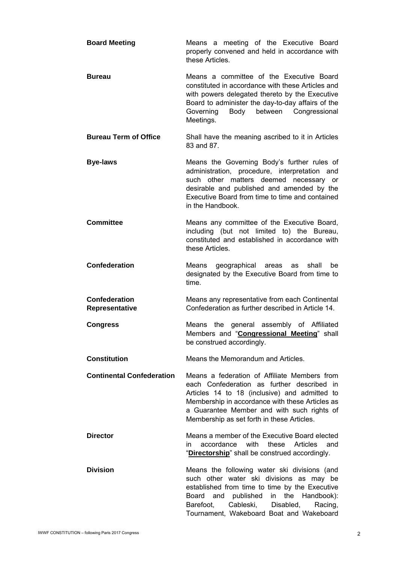| <b>Board Meeting</b>                   | Means a meeting of the Executive Board<br>properly convened and held in accordance with<br>these Articles.                                                                                                                                                                                 |
|----------------------------------------|--------------------------------------------------------------------------------------------------------------------------------------------------------------------------------------------------------------------------------------------------------------------------------------------|
| <b>Bureau</b>                          | Means a committee of the Executive Board<br>constituted in accordance with these Articles and<br>with powers delegated thereto by the Executive<br>Board to administer the day-to-day affairs of the<br>Body<br>between Congressional<br>Governing<br>Meetings.                            |
| <b>Bureau Term of Office</b>           | Shall have the meaning ascribed to it in Articles<br>83 and 87.                                                                                                                                                                                                                            |
| <b>Bye-laws</b>                        | Means the Governing Body's further rules of<br>administration, procedure, interpretation and<br>such other matters deemed necessary or<br>desirable and published and amended by the<br>Executive Board from time to time and contained<br>in the Handbook.                                |
| <b>Committee</b>                       | Means any committee of the Executive Board,<br>including (but not limited to) the Bureau,<br>constituted and established in accordance with<br>these Articles.                                                                                                                             |
| <b>Confederation</b>                   | shall<br>Means<br>geographical areas<br>be<br>as<br>designated by the Executive Board from time to<br>time.                                                                                                                                                                                |
| <b>Confederation</b><br>Representative | Means any representative from each Continental<br>Confederation as further described in Article 14.                                                                                                                                                                                        |
| <b>Congress</b>                        | the general assembly of Affiliated<br>Means<br>Members and "Congressional Meeting" shall<br>be construed accordingly.                                                                                                                                                                      |
| <b>Constitution</b>                    | Means the Memorandum and Articles.                                                                                                                                                                                                                                                         |
| <b>Continental Confederation</b>       | Means a federation of Affiliate Members from<br>each Confederation as further described in<br>Articles 14 to 18 (inclusive) and admitted to<br>Membership in accordance with these Articles as<br>a Guarantee Member and with such rights of<br>Membership as set forth in these Articles. |
| <b>Director</b>                        | Means a member of the Executive Board elected<br>accordance<br>with<br>these<br>Articles<br>in.<br>and<br>"Directorship" shall be construed accordingly.                                                                                                                                   |
| <b>Division</b>                        | Means the following water ski divisions (and<br>such other water ski divisions as may be<br>established from time to time by the Executive<br>published in the Handbook):<br>Board<br>and<br>Barefoot,<br>Cableski, Disabled,<br>Racing,<br>Tournament, Wakeboard Boat and Wakeboard       |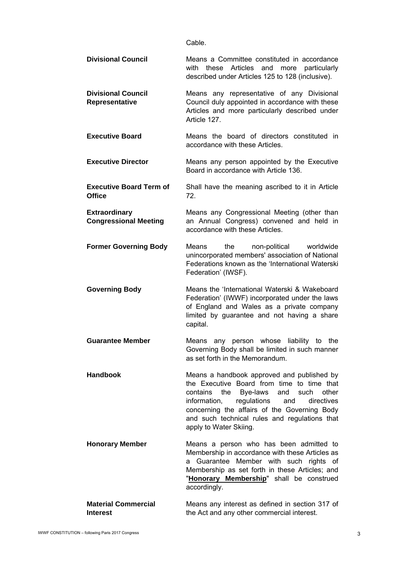Cable.

| <b>Divisional Council</b>                            | Means a Committee constituted in accordance<br>Articles<br>with<br>these<br>and<br>more<br>particularly<br>described under Articles 125 to 128 (inclusive).                                                                                                                                                                 |
|------------------------------------------------------|-----------------------------------------------------------------------------------------------------------------------------------------------------------------------------------------------------------------------------------------------------------------------------------------------------------------------------|
| <b>Divisional Council</b><br>Representative          | Means any representative of any Divisional<br>Council duly appointed in accordance with these<br>Articles and more particularly described under<br>Article 127.                                                                                                                                                             |
| <b>Executive Board</b>                               | Means the board of directors constituted in<br>accordance with these Articles.                                                                                                                                                                                                                                              |
| <b>Executive Director</b>                            | Means any person appointed by the Executive<br>Board in accordance with Article 136.                                                                                                                                                                                                                                        |
| <b>Executive Board Term of</b><br><b>Office</b>      | Shall have the meaning ascribed to it in Article<br>72.                                                                                                                                                                                                                                                                     |
| <b>Extraordinary</b><br><b>Congressional Meeting</b> | Means any Congressional Meeting (other than<br>an Annual Congress) convened and held in<br>accordance with these Articles.                                                                                                                                                                                                  |
| <b>Former Governing Body</b>                         | the<br>non-political<br>worldwide<br>Means<br>unincorporated members' association of National<br>Federations known as the 'International Waterski<br>Federation' (IWSF).                                                                                                                                                    |
|                                                      |                                                                                                                                                                                                                                                                                                                             |
| <b>Governing Body</b>                                | Means the 'International Waterski & Wakeboard<br>Federation' (IWWF) incorporated under the laws<br>of England and Wales as a private company<br>limited by guarantee and not having a share<br>capital.                                                                                                                     |
| <b>Guarantee Member</b>                              | Means any person whose liability to the<br>Governing Body shall be limited in such manner<br>as set forth in the Memorandum.                                                                                                                                                                                                |
| <b>Handbook</b>                                      | Means a handbook approved and published by<br>the Executive Board from time to time that<br>Bye-laws and<br>other<br>contains<br>the<br>such<br>information,<br>regulations<br>directives<br>and<br>concerning the affairs of the Governing Body<br>and such technical rules and regulations that<br>apply to Water Skiing. |
| <b>Honorary Member</b>                               | Means a person who has been admitted to<br>Membership in accordance with these Articles as<br>Guarantee Member with such rights of<br>a<br>Membership as set forth in these Articles; and<br>"Honorary Membership" shall be construed<br>accordingly.                                                                       |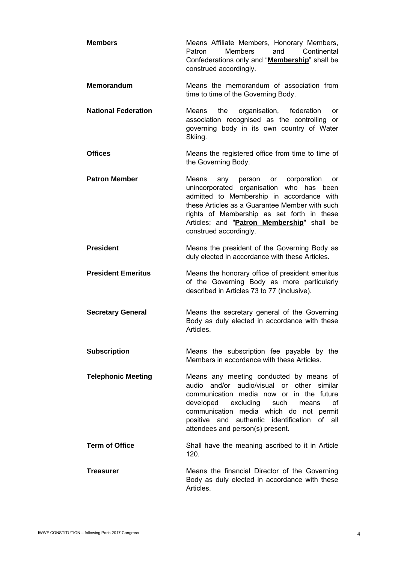- **Members Means Affiliate Members, Honorary Members,** Patron Members and Continental Confederations only and "**Membership**" shall be construed accordingly.
- **Memorandum** Means the memorandum of association from time to time of the Governing Body.
- **National Federation** Means the organisation, federation or association recognised as the controlling or governing body in its own country of Water Skiing.
- **Offices** Means the registered office from time to time of the Governing Body.
- **Patron Member Means** any person or corporation or unincorporated organisation who has been admitted to Membership in accordance with these Articles as a Guarantee Member with such rights of Membership as set forth in these Articles; and "**Patron Membership**" shall be construed accordingly.
- **President Means the president of the Governing Body as** duly elected in accordance with these Articles.
- **President Emeritus** Means the honorary office of president emeritus of the Governing Body as more particularly described in Articles 73 to 77 (inclusive).
- **Secretary General** Means the secretary general of the Governing Body as duly elected in accordance with these Articles.
- **Subscription** Means the subscription fee payable by the Members in accordance with these Articles.
- **Telephonic Meeting 6.1 Means any meeting conducted by means of** audio and/or audio/visual or other similar communication media now or in the future developed excluding such means of communication media which do not permit positive and authentic identification of all attendees and person(s) present.
- **Term of Office** Shall have the meaning ascribed to it in Article 120.
- **Treasurer Treasurer 19.1 Means the financial Director of the Governing** Body as duly elected in accordance with these Articles.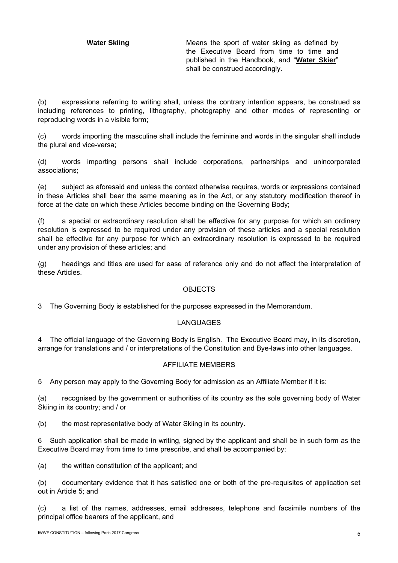**Water Skiing Means the sport of water skiing as defined by** the Executive Board from time to time and published in the Handbook, and "**Water Skier**" shall be construed accordingly.

(b) expressions referring to writing shall, unless the contrary intention appears, be construed as including references to printing, lithography, photography and other modes of representing or reproducing words in a visible form;

(c) words importing the masculine shall include the feminine and words in the singular shall include the plural and vice-versa;

(d) words importing persons shall include corporations, partnerships and unincorporated associations;

(e) subject as aforesaid and unless the context otherwise requires, words or expressions contained in these Articles shall bear the same meaning as in the Act, or any statutory modification thereof in force at the date on which these Articles become binding on the Governing Body;

(f) a special or extraordinary resolution shall be effective for any purpose for which an ordinary resolution is expressed to be required under any provision of these articles and a special resolution shall be effective for any purpose for which an extraordinary resolution is expressed to be required under any provision of these articles; and

(g) headings and titles are used for ease of reference only and do not affect the interpretation of these Articles.

# **OBJECTS**

3 The Governing Body is established for the purposes expressed in the Memorandum.

# LANGUAGES

4 The official language of the Governing Body is English. The Executive Board may, in its discretion, arrange for translations and / or interpretations of the Constitution and Bye-laws into other languages.

#### AFFILIATE MEMBERS

5 Any person may apply to the Governing Body for admission as an Affiliate Member if it is:

(a) recognised by the government or authorities of its country as the sole governing body of Water Skiing in its country; and / or

(b) the most representative body of Water Skiing in its country.

6 Such application shall be made in writing, signed by the applicant and shall be in such form as the Executive Board may from time to time prescribe, and shall be accompanied by:

(a) the written constitution of the applicant; and

(b) documentary evidence that it has satisfied one or both of the pre-requisites of application set out in Article 5; and

(c) a list of the names, addresses, email addresses, telephone and facsimile numbers of the principal office bearers of the applicant, and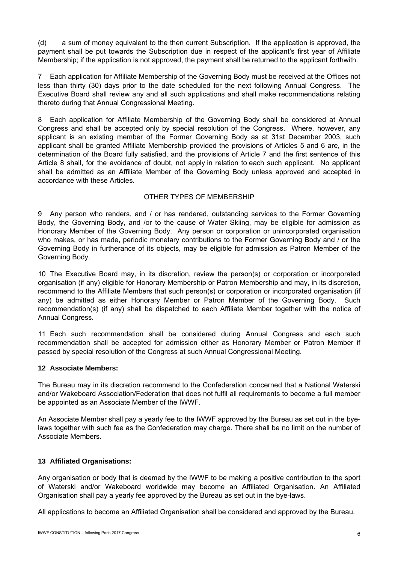(d) a sum of money equivalent to the then current Subscription. If the application is approved, the payment shall be put towards the Subscription due in respect of the applicant's first year of Affiliate Membership; if the application is not approved, the payment shall be returned to the applicant forthwith.

7 Each application for Affiliate Membership of the Governing Body must be received at the Offices not less than thirty (30) days prior to the date scheduled for the next following Annual Congress. The Executive Board shall review any and all such applications and shall make recommendations relating thereto during that Annual Congressional Meeting.

8 Each application for Affiliate Membership of the Governing Body shall be considered at Annual Congress and shall be accepted only by special resolution of the Congress. Where, however, any applicant is an existing member of the Former Governing Body as at 31st December 2003, such applicant shall be granted Affiliate Membership provided the provisions of Articles 5 and 6 are, in the determination of the Board fully satisfied, and the provisions of Article 7 and the first sentence of this Article 8 shall, for the avoidance of doubt, not apply in relation to each such applicant. No applicant shall be admitted as an Affiliate Member of the Governing Body unless approved and accepted in accordance with these Articles.

# OTHER TYPES OF MEMBERSHIP

9 Any person who renders, and / or has rendered, outstanding services to the Former Governing Body, the Governing Body, and /or to the cause of Water Skiing, may be eligible for admission as Honorary Member of the Governing Body. Any person or corporation or unincorporated organisation who makes, or has made, periodic monetary contributions to the Former Governing Body and / or the Governing Body in furtherance of its objects, may be eligible for admission as Patron Member of the Governing Body.

10 The Executive Board may, in its discretion, review the person(s) or corporation or incorporated organisation (if any) eligible for Honorary Membership or Patron Membership and may, in its discretion, recommend to the Affiliate Members that such person(s) or corporation or incorporated organisation (if any) be admitted as either Honorary Member or Patron Member of the Governing Body. Such recommendation(s) (if any) shall be dispatched to each Affiliate Member together with the notice of Annual Congress.

11 Each such recommendation shall be considered during Annual Congress and each such recommendation shall be accepted for admission either as Honorary Member or Patron Member if passed by special resolution of the Congress at such Annual Congressional Meeting.

#### **12 Associate Members:**

The Bureau may in its discretion recommend to the Confederation concerned that a National Waterski and/or Wakeboard Association/Federation that does not fulfil all requirements to become a full member be appointed as an Associate Member of the IWWF.

An Associate Member shall pay a yearly fee to the IWWF approved by the Bureau as set out in the byelaws together with such fee as the Confederation may charge. There shall be no limit on the number of Associate Members.

# **13 Affiliated Organisations:**

Any organisation or body that is deemed by the IWWF to be making a positive contribution to the sport of Waterski and/or Wakeboard worldwide may become an Affiliated Organisation. An Affiliated Organisation shall pay a yearly fee approved by the Bureau as set out in the bye-laws.

All applications to become an Affiliated Organisation shall be considered and approved by the Bureau.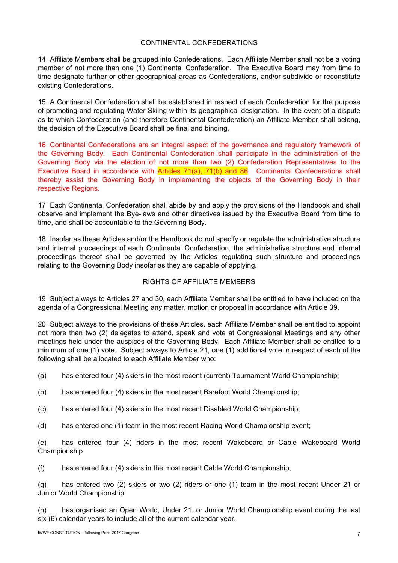### CONTINENTAL CONFEDERATIONS

14 Affiliate Members shall be grouped into Confederations. Each Affiliate Member shall not be a voting member of not more than one (1) Continental Confederation. The Executive Board may from time to time designate further or other geographical areas as Confederations, and/or subdivide or reconstitute existing Confederations.

15 A Continental Confederation shall be established in respect of each Confederation for the purpose of promoting and regulating Water Skiing within its geographical designation. In the event of a dispute as to which Confederation (and therefore Continental Confederation) an Affiliate Member shall belong, the decision of the Executive Board shall be final and binding.

16 Continental Confederations are an integral aspect of the governance and regulatory framework of the Governing Body. Each Continental Confederation shall participate in the administration of the Governing Body via the election of not more than two (2) Confederation Representatives to the Executive Board in accordance with Articles 71(a), 71(b) and 86. Continental Confederations shall thereby assist the Governing Body in implementing the objects of the Governing Body in their respective Regions.

17 Each Continental Confederation shall abide by and apply the provisions of the Handbook and shall observe and implement the Bye-laws and other directives issued by the Executive Board from time to time, and shall be accountable to the Governing Body.

18 Insofar as these Articles and/or the Handbook do not specify or regulate the administrative structure and internal proceedings of each Continental Confederation, the administrative structure and internal proceedings thereof shall be governed by the Articles regulating such structure and proceedings relating to the Governing Body insofar as they are capable of applying.

# RIGHTS OF AFFILIATE MEMBERS

19 Subject always to Articles 27 and 30, each Affiliate Member shall be entitled to have included on the agenda of a Congressional Meeting any matter, motion or proposal in accordance with Article 39.

20 Subject always to the provisions of these Articles, each Affiliate Member shall be entitled to appoint not more than two (2) delegates to attend, speak and vote at Congressional Meetings and any other meetings held under the auspices of the Governing Body. Each Affiliate Member shall be entitled to a minimum of one (1) vote. Subject always to Article 21, one (1) additional vote in respect of each of the following shall be allocated to each Affiliate Member who:

(a) has entered four (4) skiers in the most recent (current) Tournament World Championship;

- (b) has entered four (4) skiers in the most recent Barefoot World Championship;
- (c) has entered four (4) skiers in the most recent Disabled World Championship;
- (d) has entered one (1) team in the most recent Racing World Championship event;

(e) has entered four (4) riders in the most recent Wakeboard or Cable Wakeboard World Championship

(f) has entered four (4) skiers in the most recent Cable World Championship;

(g) has entered two (2) skiers or two (2) riders or one (1) team in the most recent Under 21 or Junior World Championship

(h) has organised an Open World, Under 21, or Junior World Championship event during the last six (6) calendar years to include all of the current calendar year.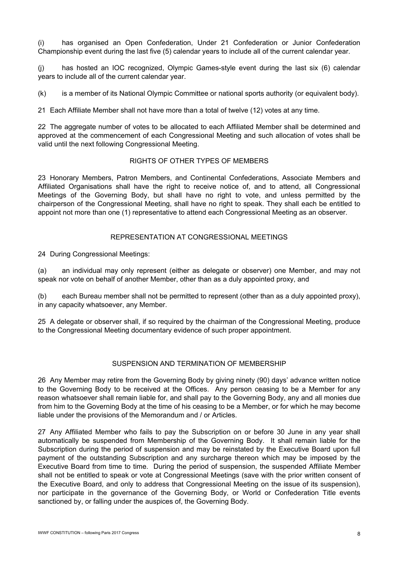(i) has organised an Open Confederation, Under 21 Confederation or Junior Confederation Championship event during the last five (5) calendar years to include all of the current calendar year.

(j) has hosted an IOC recognized, Olympic Games-style event during the last six (6) calendar years to include all of the current calendar year.

(k) is a member of its National Olympic Committee or national sports authority (or equivalent body).

21 Each Affiliate Member shall not have more than a total of twelve (12) votes at any time.

22 The aggregate number of votes to be allocated to each Affiliated Member shall be determined and approved at the commencement of each Congressional Meeting and such allocation of votes shall be valid until the next following Congressional Meeting.

## RIGHTS OF OTHER TYPES OF MEMBERS

23 Honorary Members, Patron Members, and Continental Confederations, Associate Members and Affiliated Organisations shall have the right to receive notice of, and to attend, all Congressional Meetings of the Governing Body, but shall have no right to vote, and unless permitted by the chairperson of the Congressional Meeting, shall have no right to speak. They shall each be entitled to appoint not more than one (1) representative to attend each Congressional Meeting as an observer.

### REPRESENTATION AT CONGRESSIONAL MEETINGS

24 During Congressional Meetings:

(a) an individual may only represent (either as delegate or observer) one Member, and may not speak nor vote on behalf of another Member, other than as a duly appointed proxy, and

(b) each Bureau member shall not be permitted to represent (other than as a duly appointed proxy), in any capacity whatsoever, any Member.

25 A delegate or observer shall, if so required by the chairman of the Congressional Meeting, produce to the Congressional Meeting documentary evidence of such proper appointment.

### SUSPENSION AND TERMINATION OF MEMBERSHIP

26 Any Member may retire from the Governing Body by giving ninety (90) days' advance written notice to the Governing Body to be received at the Offices. Any person ceasing to be a Member for any reason whatsoever shall remain liable for, and shall pay to the Governing Body, any and all monies due from him to the Governing Body at the time of his ceasing to be a Member, or for which he may become liable under the provisions of the Memorandum and / or Articles.

27 Any Affiliated Member who fails to pay the Subscription on or before 30 June in any year shall automatically be suspended from Membership of the Governing Body. It shall remain liable for the Subscription during the period of suspension and may be reinstated by the Executive Board upon full payment of the outstanding Subscription and any surcharge thereon which may be imposed by the Executive Board from time to time. During the period of suspension, the suspended Affiliate Member shall not be entitled to speak or vote at Congressional Meetings (save with the prior written consent of the Executive Board, and only to address that Congressional Meeting on the issue of its suspension), nor participate in the governance of the Governing Body, or World or Confederation Title events sanctioned by, or falling under the auspices of, the Governing Body.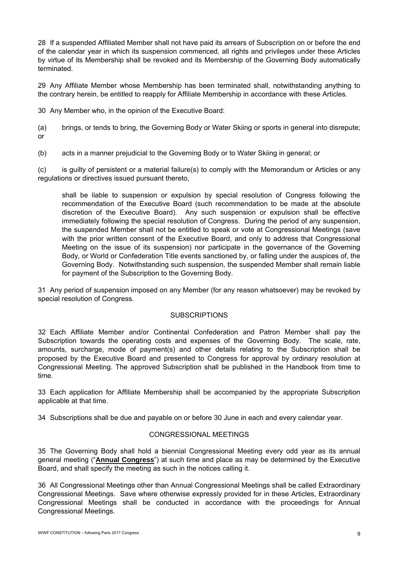28 If a suspended Affiliated Member shall not have paid its arrears of Subscription on or before the end of the calendar year in which its suspension commenced, all rights and privileges under these Articles by virtue of its Membership shall be revoked and its Membership of the Governing Body automatically terminated.

29 Any Affiliate Member whose Membership has been terminated shall, notwithstanding anything to the contrary herein, be entitled to reapply for Affiliate Membership in accordance with these Articles.

30 Any Member who, in the opinion of the Executive Board:

(a) brings, or tends to bring, the Governing Body or Water Skiing or sports in general into disrepute; or

(b) acts in a manner prejudicial to the Governing Body or to Water Skiing in general; or

(c) is guilty of persistent or a material failure(s) to comply with the Memorandum or Articles or any regulations or directives issued pursuant thereto,

shall be liable to suspension or expulsion by special resolution of Congress following the recommendation of the Executive Board (such recommendation to be made at the absolute discretion of the Executive Board). Any such suspension or expulsion shall be effective immediately following the special resolution of Congress. During the period of any suspension, the suspended Member shall not be entitled to speak or vote at Congressional Meetings (save with the prior written consent of the Executive Board, and only to address that Congressional Meeting on the issue of its suspension) nor participate in the governance of the Governing Body, or World or Confederation Title events sanctioned by, or falling under the auspices of, the Governing Body. Notwithstanding such suspension, the suspended Member shall remain liable for payment of the Subscription to the Governing Body.

31 Any period of suspension imposed on any Member (for any reason whatsoever) may be revoked by special resolution of Congress.

# **SUBSCRIPTIONS**

32 Each Affiliate Member and/or Continental Confederation and Patron Member shall pay the Subscription towards the operating costs and expenses of the Governing Body. The scale, rate, amounts, surcharge, mode of payment(s) and other details relating to the Subscription shall be proposed by the Executive Board and presented to Congress for approval by ordinary resolution at Congressional Meeting. The approved Subscription shall be published in the Handbook from time to time.

33 Each application for Affiliate Membership shall be accompanied by the appropriate Subscription applicable at that time.

34 Subscriptions shall be due and payable on or before 30 June in each and every calendar year.

# CONGRESSIONAL MEETINGS

35 The Governing Body shall hold a biennial Congressional Meeting every odd year as its annual general meeting ("**Annual Congress**") at such time and place as may be determined by the Executive Board, and shall specify the meeting as such in the notices calling it.

36 All Congressional Meetings other than Annual Congressional Meetings shall be called Extraordinary Congressional Meetings. Save where otherwise expressly provided for in these Articles, Extraordinary Congressional Meetings shall be conducted in accordance with the proceedings for Annual Congressional Meetings.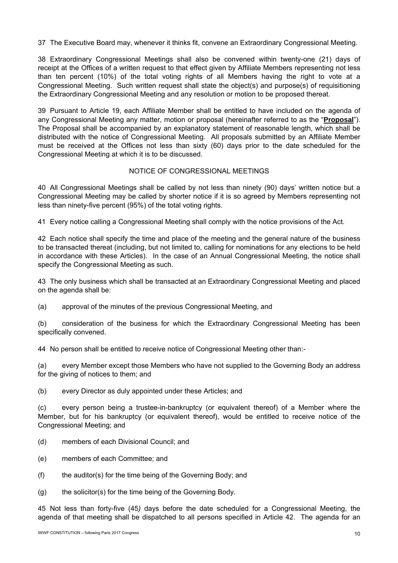37 The Executive Board may, whenever it thinks fit, convene an Extraordinary Congressional Meeting.

38 Extraordinary Congressional Meetings shall also be convened within twenty-one (21) days of receipt at the Offices of a written request to that effect given by Affiliate Members representing not less than ten percent (10%) of the total voting rights of all Members having the right to vote at a Congressional Meeting. Such written request shall state the object(s) and purpose(s) of requisitioning the Extraordinary Congressional Meeting and any resolution or motion to be proposed thereat.

39 Pursuant to Article 19, each Affiliate Member shall be entitled to have included on the agenda of any Congressional Meeting any matter, motion or proposal (hereinafter referred to as the "**Proposal**"). The Proposal shall be accompanied by an explanatory statement of reasonable length, which shall be distributed with the notice of Congressional Meeting. All proposals submitted by an Affiliate Member must be received at the Offices not less than sixty (60) days prior to the date scheduled for the Congressional Meeting at which it is to be discussed.

### NOTICE OF CONGRESSIONAL MEETINGS

40 All Congressional Meetings shall be called by not less than ninety (90) days' written notice but a Congressional Meeting may be called by shorter notice if it is so agreed by Members representing not less than ninety-five percent (95%) of the total voting rights.

41 Every notice calling a Congressional Meeting shall comply with the notice provisions of the Act.

42 Each notice shall specify the time and place of the meeting and the general nature of the business to be transacted thereat (including, but not limited to, calling for nominations for any elections to be held in accordance with these Articles). In the case of an Annual Congressional Meeting, the notice shall specify the Congressional Meeting as such.

43 The only business which shall be transacted at an Extraordinary Congressional Meeting and placed on the agenda shall be:

(a) approval of the minutes of the previous Congressional Meeting, and

(b) consideration of the business for which the Extraordinary Congressional Meeting has been specifically convened.

44 No person shall be entitled to receive notice of Congressional Meeting other than:-

(a) every Member except those Members who have not supplied to the Governing Body an address for the giving of notices to them; and

(b) every Director as duly appointed under these Articles; and

(c) every person being a trustee-in-bankruptcy (or equivalent thereof) of a Member where the Member, but for his bankruptcy (or equivalent thereof), would be entitled to receive notice of the Congressional Meeting; and

- (d) members of each Divisional Council; and
- (e) members of each Committee; and
- (f) the auditor(s) for the time being of the Governing Body; and
- (g) the solicitor(s) for the time being of the Governing Body.

45 Not less than forty-five (45*)* days before the date scheduled for a Congressional Meeting, the agenda of that meeting shall be dispatched to all persons specified in Article 42. The agenda for an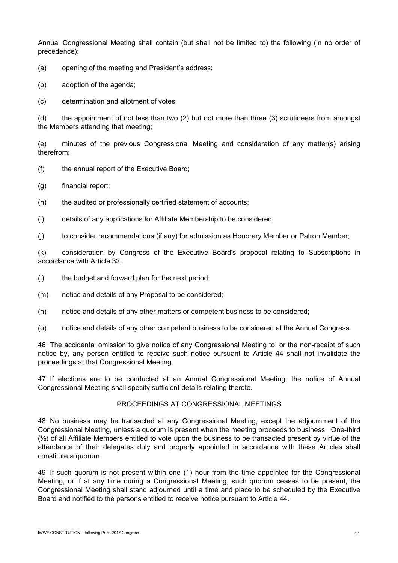Annual Congressional Meeting shall contain (but shall not be limited to) the following (in no order of precedence):

(a) opening of the meeting and President's address;

(b) adoption of the agenda;

(c) determination and allotment of votes;

(d) the appointment of not less than two (2) but not more than three (3) scrutineers from amongst the Members attending that meeting;

(e) minutes of the previous Congressional Meeting and consideration of any matter(s) arising therefrom;

(f) the annual report of the Executive Board;

(g) financial report;

(h) the audited or professionally certified statement of accounts;

(i) details of any applications for Affiliate Membership to be considered;

 $(i)$  to consider recommendations (if any) for admission as Honorary Member or Patron Member;

(k) consideration by Congress of the Executive Board's proposal relating to Subscriptions in accordance with Article 32;

(l) the budget and forward plan for the next period;

(m) notice and details of any Proposal to be considered;

(n) notice and details of any other matters or competent business to be considered;

(o) notice and details of any other competent business to be considered at the Annual Congress.

46 The accidental omission to give notice of any Congressional Meeting to, or the non-receipt of such notice by, any person entitled to receive such notice pursuant to Article 44 shall not invalidate the proceedings at that Congressional Meeting.

47 If elections are to be conducted at an Annual Congressional Meeting, the notice of Annual Congressional Meeting shall specify sufficient details relating thereto.

#### PROCEEDINGS AT CONGRESSIONAL MEETINGS

48 No business may be transacted at any Congressional Meeting, except the adjournment of the Congressional Meeting, unless a quorum is present when the meeting proceeds to business. One-third (⅓) of all Affiliate Members entitled to vote upon the business to be transacted present by virtue of the attendance of their delegates duly and properly appointed in accordance with these Articles shall constitute a quorum.

49 If such quorum is not present within one (1) hour from the time appointed for the Congressional Meeting, or if at any time during a Congressional Meeting, such quorum ceases to be present, the Congressional Meeting shall stand adjourned until a time and place to be scheduled by the Executive Board and notified to the persons entitled to receive notice pursuant to Article 44.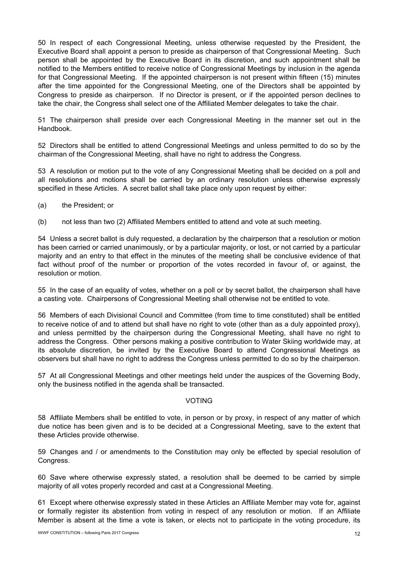50 In respect of each Congressional Meeting, unless otherwise requested by the President, the Executive Board shall appoint a person to preside as chairperson of that Congressional Meeting. Such person shall be appointed by the Executive Board in its discretion, and such appointment shall be notified to the Members entitled to receive notice of Congressional Meetings by inclusion in the agenda for that Congressional Meeting. If the appointed chairperson is not present within fifteen (15) minutes after the time appointed for the Congressional Meeting, one of the Directors shall be appointed by Congress to preside as chairperson. If no Director is present, or if the appointed person declines to take the chair, the Congress shall select one of the Affiliated Member delegates to take the chair.

51 The chairperson shall preside over each Congressional Meeting in the manner set out in the Handbook.

52 Directors shall be entitled to attend Congressional Meetings and unless permitted to do so by the chairman of the Congressional Meeting, shall have no right to address the Congress.

53 A resolution or motion put to the vote of any Congressional Meeting shall be decided on a poll and all resolutions and motions shall be carried by an ordinary resolution unless otherwise expressly specified in these Articles. A secret ballot shall take place only upon request by either:

- (a) the President; or
- (b) not less than two (2) Affiliated Members entitled to attend and vote at such meeting.

54 Unless a secret ballot is duly requested, a declaration by the chairperson that a resolution or motion has been carried or carried unanimously, or by a particular majority, or lost, or not carried by a particular majority and an entry to that effect in the minutes of the meeting shall be conclusive evidence of that fact without proof of the number or proportion of the votes recorded in favour of, or against, the resolution or motion.

55 In the case of an equality of votes, whether on a poll or by secret ballot, the chairperson shall have a casting vote. Chairpersons of Congressional Meeting shall otherwise not be entitled to vote.

56 Members of each Divisional Council and Committee (from time to time constituted) shall be entitled to receive notice of and to attend but shall have no right to vote (other than as a duly appointed proxy), and unless permitted by the chairperson during the Congressional Meeting, shall have no right to address the Congress. Other persons making a positive contribution to Water Skiing worldwide may, at its absolute discretion, be invited by the Executive Board to attend Congressional Meetings as observers but shall have no right to address the Congress unless permitted to do so by the chairperson.

57 At all Congressional Meetings and other meetings held under the auspices of the Governing Body, only the business notified in the agenda shall be transacted.

#### VOTING

58 Affiliate Members shall be entitled to vote, in person or by proxy, in respect of any matter of which due notice has been given and is to be decided at a Congressional Meeting, save to the extent that these Articles provide otherwise.

59 Changes and / or amendments to the Constitution may only be effected by special resolution of Congress.

60 Save where otherwise expressly stated, a resolution shall be deemed to be carried by simple majority of all votes properly recorded and cast at a Congressional Meeting.

61 Except where otherwise expressly stated in these Articles an Affiliate Member may vote for, against or formally register its abstention from voting in respect of any resolution or motion. If an Affiliate Member is absent at the time a vote is taken, or elects not to participate in the voting procedure, its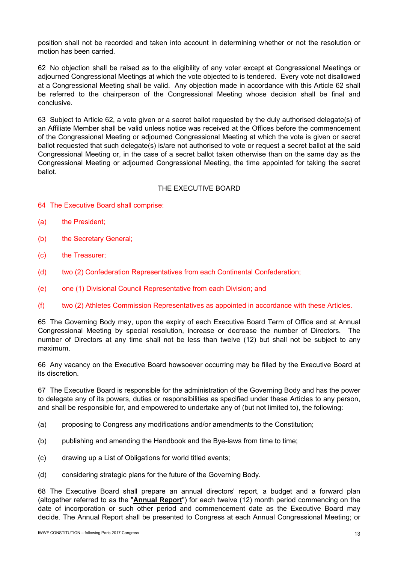position shall not be recorded and taken into account in determining whether or not the resolution or motion has been carried.

62 No objection shall be raised as to the eligibility of any voter except at Congressional Meetings or adjourned Congressional Meetings at which the vote objected to is tendered. Every vote not disallowed at a Congressional Meeting shall be valid. Any objection made in accordance with this Article 62 shall be referred to the chairperson of the Congressional Meeting whose decision shall be final and conclusive.

63 Subject to Article 62, a vote given or a secret ballot requested by the duly authorised delegate(s) of an Affiliate Member shall be valid unless notice was received at the Offices before the commencement of the Congressional Meeting or adjourned Congressional Meeting at which the vote is given or secret ballot requested that such delegate(s) is/are not authorised to vote or request a secret ballot at the said Congressional Meeting or, in the case of a secret ballot taken otherwise than on the same day as the Congressional Meeting or adjourned Congressional Meeting, the time appointed for taking the secret ballot.

### THE EXECUTIVE BOARD

- 64 The Executive Board shall comprise:
- (a) the President;
- (b) the Secretary General;
- (c) the Treasurer;
- (d) two (2) Confederation Representatives from each Continental Confederation;
- (e) one (1) Divisional Council Representative from each Division; and
- (f) two (2) Athletes Commission Representatives as appointed in accordance with these Articles.

65 The Governing Body may, upon the expiry of each Executive Board Term of Office and at Annual Congressional Meeting by special resolution, increase or decrease the number of Directors. The number of Directors at any time shall not be less than twelve (12) but shall not be subject to any maximum.

66 Any vacancy on the Executive Board howsoever occurring may be filled by the Executive Board at its discretion.

67 The Executive Board is responsible for the administration of the Governing Body and has the power to delegate any of its powers, duties or responsibilities as specified under these Articles to any person, and shall be responsible for, and empowered to undertake any of (but not limited to), the following:

- (a) proposing to Congress any modifications and/or amendments to the Constitution;
- (b) publishing and amending the Handbook and the Bye-laws from time to time;
- (c) drawing up a List of Obligations for world titled events;
- (d) considering strategic plans for the future of the Governing Body.

68 The Executive Board shall prepare an annual directors' report, a budget and a forward plan (altogether referred to as the "**Annual Report**") for each twelve (12) month period commencing on the date of incorporation or such other period and commencement date as the Executive Board may decide. The Annual Report shall be presented to Congress at each Annual Congressional Meeting; or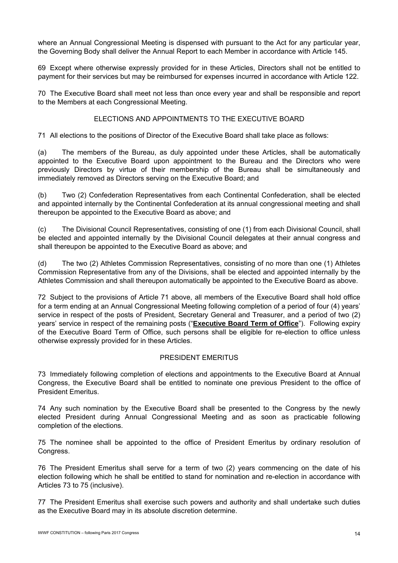where an Annual Congressional Meeting is dispensed with pursuant to the Act for any particular year, the Governing Body shall deliver the Annual Report to each Member in accordance with Article 145.

69 Except where otherwise expressly provided for in these Articles, Directors shall not be entitled to payment for their services but may be reimbursed for expenses incurred in accordance with Article 122.

70 The Executive Board shall meet not less than once every year and shall be responsible and report to the Members at each Congressional Meeting.

### ELECTIONS AND APPOINTMENTS TO THE EXECUTIVE BOARD

71 All elections to the positions of Director of the Executive Board shall take place as follows:

(a) The members of the Bureau, as duly appointed under these Articles, shall be automatically appointed to the Executive Board upon appointment to the Bureau and the Directors who were previously Directors by virtue of their membership of the Bureau shall be simultaneously and immediately removed as Directors serving on the Executive Board; and

(b) Two (2) Confederation Representatives from each Continental Confederation, shall be elected and appointed internally by the Continental Confederation at its annual congressional meeting and shall thereupon be appointed to the Executive Board as above; and

(c) The Divisional Council Representatives, consisting of one (1) from each Divisional Council, shall be elected and appointed internally by the Divisional Council delegates at their annual congress and shall thereupon be appointed to the Executive Board as above; and

(d) The two (2) Athletes Commission Representatives, consisting of no more than one (1) Athletes Commission Representative from any of the Divisions, shall be elected and appointed internally by the Athletes Commission and shall thereupon automatically be appointed to the Executive Board as above.

72 Subject to the provisions of Article 71 above, all members of the Executive Board shall hold office for a term ending at an Annual Congressional Meeting following completion of a period of four (4) years' service in respect of the posts of President, Secretary General and Treasurer, and a period of two (2) years' service in respect of the remaining posts ("**Executive Board Term of Office**"). Following expiry of the Executive Board Term of Office, such persons shall be eligible for re-election to office unless otherwise expressly provided for in these Articles.

#### PRESIDENT EMERITUS

73 Immediately following completion of elections and appointments to the Executive Board at Annual Congress, the Executive Board shall be entitled to nominate one previous President to the office of President Emeritus.

74 Any such nomination by the Executive Board shall be presented to the Congress by the newly elected President during Annual Congressional Meeting and as soon as practicable following completion of the elections.

75 The nominee shall be appointed to the office of President Emeritus by ordinary resolution of Congress.

76 The President Emeritus shall serve for a term of two (2) years commencing on the date of his election following which he shall be entitled to stand for nomination and re-election in accordance with Articles 73 to 75 (inclusive).

77 The President Emeritus shall exercise such powers and authority and shall undertake such duties as the Executive Board may in its absolute discretion determine.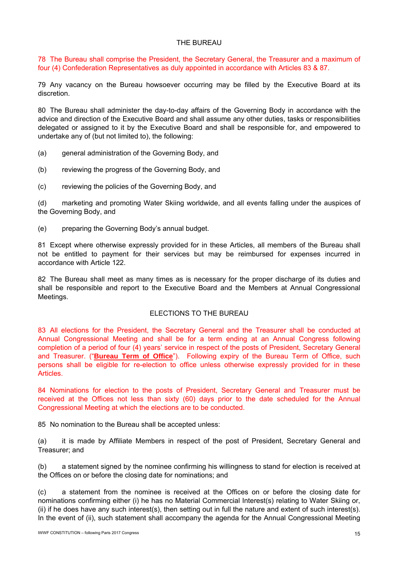### THE BUREAU

78 The Bureau shall comprise the President, the Secretary General, the Treasurer and a maximum of four (4) Confederation Representatives as duly appointed in accordance with Articles 83 & 87.

79 Any vacancy on the Bureau howsoever occurring may be filled by the Executive Board at its discretion.

80 The Bureau shall administer the day-to-day affairs of the Governing Body in accordance with the advice and direction of the Executive Board and shall assume any other duties, tasks or responsibilities delegated or assigned to it by the Executive Board and shall be responsible for, and empowered to undertake any of (but not limited to), the following:

- (a) general administration of the Governing Body, and
- (b) reviewing the progress of the Governing Body, and
- (c) reviewing the policies of the Governing Body, and

(d) marketing and promoting Water Skiing worldwide, and all events falling under the auspices of the Governing Body, and

(e) preparing the Governing Body's annual budget.

81 Except where otherwise expressly provided for in these Articles, all members of the Bureau shall not be entitled to payment for their services but may be reimbursed for expenses incurred in accordance with Article 122.

82 The Bureau shall meet as many times as is necessary for the proper discharge of its duties and shall be responsible and report to the Executive Board and the Members at Annual Congressional Meetings.

# ELECTIONS TO THE BUREAU

83 All elections for the President, the Secretary General and the Treasurer shall be conducted at Annual Congressional Meeting and shall be for a term ending at an Annual Congress following completion of a period of four (4) years' service in respect of the posts of President, Secretary General and Treasurer. ("**Bureau Term of Office**"). Following expiry of the Bureau Term of Office, such persons shall be eligible for re-election to office unless otherwise expressly provided for in these Articles.

84 Nominations for election to the posts of President, Secretary General and Treasurer must be received at the Offices not less than sixty (60) days prior to the date scheduled for the Annual Congressional Meeting at which the elections are to be conducted.

85 No nomination to the Bureau shall be accepted unless:

(a) it is made by Affiliate Members in respect of the post of President, Secretary General and Treasurer; and

(b) a statement signed by the nominee confirming his willingness to stand for election is received at the Offices on or before the closing date for nominations; and

(c) a statement from the nominee is received at the Offices on or before the closing date for nominations confirming either (i) he has no Material Commercial Interest(s) relating to Water Skiing or, (ii) if he does have any such interest(s), then setting out in full the nature and extent of such interest(s). In the event of (ii), such statement shall accompany the agenda for the Annual Congressional Meeting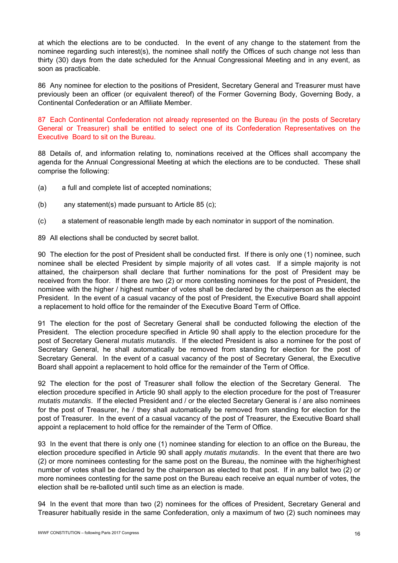at which the elections are to be conducted. In the event of any change to the statement from the nominee regarding such interest(s), the nominee shall notify the Offices of such change not less than thirty (30) days from the date scheduled for the Annual Congressional Meeting and in any event, as soon as practicable.

86 Any nominee for election to the positions of President, Secretary General and Treasurer must have previously been an officer (or equivalent thereof) of the Former Governing Body, Governing Body, a Continental Confederation or an Affiliate Member.

87 Each Continental Confederation not already represented on the Bureau (in the posts of Secretary General or Treasurer) shall be entitled to select one of its Confederation Representatives on the Executive Board to sit on the Bureau.

88 Details of, and information relating to, nominations received at the Offices shall accompany the agenda for the Annual Congressional Meeting at which the elections are to be conducted. These shall comprise the following:

- (a) a full and complete list of accepted nominations;
- (b) any statement(s) made pursuant to Article 85 (c);
- (c) a statement of reasonable length made by each nominator in support of the nomination.
- 89 All elections shall be conducted by secret ballot.

90 The election for the post of President shall be conducted first. If there is only one (1) nominee, such nominee shall be elected President by simple majority of all votes cast. If a simple majority is not attained, the chairperson shall declare that further nominations for the post of President may be received from the floor. If there are two (2) or more contesting nominees for the post of President, the nominee with the higher / highest number of votes shall be declared by the chairperson as the elected President. In the event of a casual vacancy of the post of President, the Executive Board shall appoint a replacement to hold office for the remainder of the Executive Board Term of Office.

91 The election for the post of Secretary General shall be conducted following the election of the President. The election procedure specified in Article 90 shall apply to the election procedure for the post of Secretary General *mutatis mutandis*. If the elected President is also a nominee for the post of Secretary General, he shall automatically be removed from standing for election for the post of Secretary General. In the event of a casual vacancy of the post of Secretary General, the Executive Board shall appoint a replacement to hold office for the remainder of the Term of Office.

92 The election for the post of Treasurer shall follow the election of the Secretary General. The election procedure specified in Article 90 shall apply to the election procedure for the post of Treasurer *mutatis mutandis*. If the elected President and / or the elected Secretary General is / are also nominees for the post of Treasurer, he / they shall automatically be removed from standing for election for the post of Treasurer. In the event of a casual vacancy of the post of Treasurer, the Executive Board shall appoint a replacement to hold office for the remainder of the Term of Office.

93 In the event that there is only one (1) nominee standing for election to an office on the Bureau, the election procedure specified in Article 90 shall apply *mutatis mutandis*. In the event that there are two (2) or more nominees contesting for the same post on the Bureau, the nominee with the higher/highest number of votes shall be declared by the chairperson as elected to that post. If in any ballot two (2) or more nominees contesting for the same post on the Bureau each receive an equal number of votes, the election shall be re-balloted until such time as an election is made.

94 In the event that more than two (2) nominees for the offices of President, Secretary General and Treasurer habitually reside in the same Confederation, only a maximum of two (2) such nominees may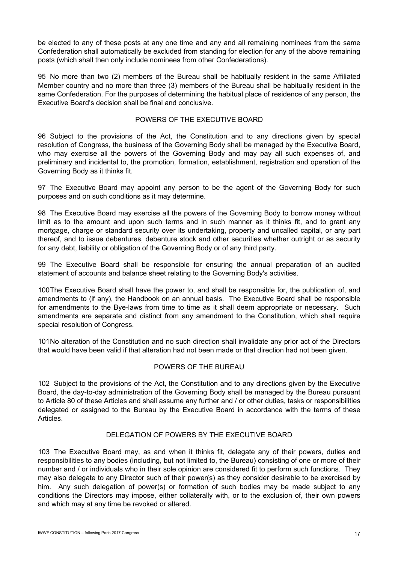be elected to any of these posts at any one time and any and all remaining nominees from the same Confederation shall automatically be excluded from standing for election for any of the above remaining posts (which shall then only include nominees from other Confederations).

95 No more than two (2) members of the Bureau shall be habitually resident in the same Affiliated Member country and no more than three (3) members of the Bureau shall be habitually resident in the same Confederation. For the purposes of determining the habitual place of residence of any person, the Executive Board's decision shall be final and conclusive.

## POWERS OF THE EXECUTIVE BOARD

96 Subject to the provisions of the Act, the Constitution and to any directions given by special resolution of Congress, the business of the Governing Body shall be managed by the Executive Board, who may exercise all the powers of the Governing Body and may pay all such expenses of, and preliminary and incidental to, the promotion, formation, establishment, registration and operation of the Governing Body as it thinks fit.

97 The Executive Board may appoint any person to be the agent of the Governing Body for such purposes and on such conditions as it may determine.

98 The Executive Board may exercise all the powers of the Governing Body to borrow money without limit as to the amount and upon such terms and in such manner as it thinks fit, and to grant any mortgage, charge or standard security over its undertaking, property and uncalled capital, or any part thereof, and to issue debentures, debenture stock and other securities whether outright or as security for any debt, liability or obligation of the Governing Body or of any third party.

99 The Executive Board shall be responsible for ensuring the annual preparation of an audited statement of accounts and balance sheet relating to the Governing Body's activities.

100 The Executive Board shall have the power to, and shall be responsible for, the publication of, and amendments to (if any), the Handbook on an annual basis. The Executive Board shall be responsible for amendments to the Bye-laws from time to time as it shall deem appropriate or necessary. Such amendments are separate and distinct from any amendment to the Constitution, which shall require special resolution of Congress.

101 No alteration of the Constitution and no such direction shall invalidate any prior act of the Directors that would have been valid if that alteration had not been made or that direction had not been given.

#### POWERS OF THE BUREAU

102 Subject to the provisions of the Act, the Constitution and to any directions given by the Executive Board, the day-to-day administration of the Governing Body shall be managed by the Bureau pursuant to Article 80 of these Articles and shall assume any further and / or other duties, tasks or responsibilities delegated or assigned to the Bureau by the Executive Board in accordance with the terms of these Articles.

### DELEGATION OF POWERS BY THE EXECUTIVE BOARD

103 The Executive Board may, as and when it thinks fit, delegate any of their powers, duties and responsibilities to any bodies (including, but not limited to, the Bureau) consisting of one or more of their number and / or individuals who in their sole opinion are considered fit to perform such functions. They may also delegate to any Director such of their power(s) as they consider desirable to be exercised by him. Any such delegation of power(s) or formation of such bodies may be made subject to any conditions the Directors may impose, either collaterally with, or to the exclusion of, their own powers and which may at any time be revoked or altered.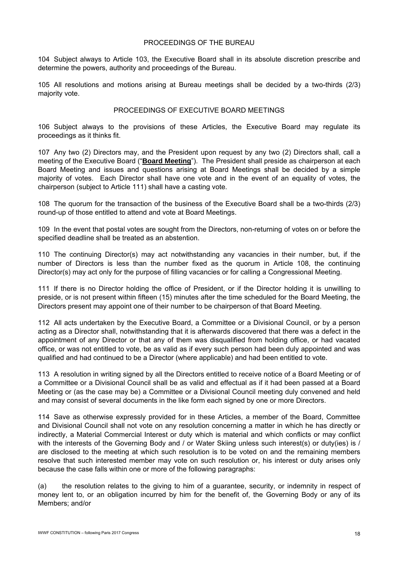### PROCEEDINGS OF THE BUREAU

104 Subject always to Article 103, the Executive Board shall in its absolute discretion prescribe and determine the powers, authority and proceedings of the Bureau.

105 All resolutions and motions arising at Bureau meetings shall be decided by a two-thirds (2/3) majority vote.

# PROCEEDINGS OF EXECUTIVE BOARD MEETINGS

106 Subject always to the provisions of these Articles, the Executive Board may regulate its proceedings as it thinks fit.

107 Any two (2) Directors may, and the President upon request by any two (2) Directors shall, call a meeting of the Executive Board ("**Board Meeting**"). The President shall preside as chairperson at each Board Meeting and issues and questions arising at Board Meetings shall be decided by a simple majority of votes. Each Director shall have one vote and in the event of an equality of votes, the chairperson (subject to Article 111) shall have a casting vote.

108 The quorum for the transaction of the business of the Executive Board shall be a two-thirds (2/3) round-up of those entitled to attend and vote at Board Meetings.

109 In the event that postal votes are sought from the Directors, non-returning of votes on or before the specified deadline shall be treated as an abstention.

110 The continuing Director(s) may act notwithstanding any vacancies in their number, but, if the number of Directors is less than the number fixed as the quorum in Article 108, the continuing Director(s) may act only for the purpose of filling vacancies or for calling a Congressional Meeting.

111 If there is no Director holding the office of President, or if the Director holding it is unwilling to preside, or is not present within fifteen (15) minutes after the time scheduled for the Board Meeting, the Directors present may appoint one of their number to be chairperson of that Board Meeting.

112 All acts undertaken by the Executive Board, a Committee or a Divisional Council, or by a person acting as a Director shall, notwithstanding that it is afterwards discovered that there was a defect in the appointment of any Director or that any of them was disqualified from holding office, or had vacated office, or was not entitled to vote, be as valid as if every such person had been duly appointed and was qualified and had continued to be a Director (where applicable) and had been entitled to vote.

113 A resolution in writing signed by all the Directors entitled to receive notice of a Board Meeting or of a Committee or a Divisional Council shall be as valid and effectual as if it had been passed at a Board Meeting or (as the case may be) a Committee or a Divisional Council meeting duly convened and held and may consist of several documents in the like form each signed by one or more Directors.

114 Save as otherwise expressly provided for in these Articles, a member of the Board, Committee and Divisional Council shall not vote on any resolution concerning a matter in which he has directly or indirectly, a Material Commercial Interest or duty which is material and which conflicts or may conflict with the interests of the Governing Body and / or Water Skiing unless such interest(s) or duty(ies) is / are disclosed to the meeting at which such resolution is to be voted on and the remaining members resolve that such interested member may vote on such resolution or, his interest or duty arises only because the case falls within one or more of the following paragraphs:

(a) the resolution relates to the giving to him of a guarantee, security, or indemnity in respect of money lent to, or an obligation incurred by him for the benefit of, the Governing Body or any of its Members; and/or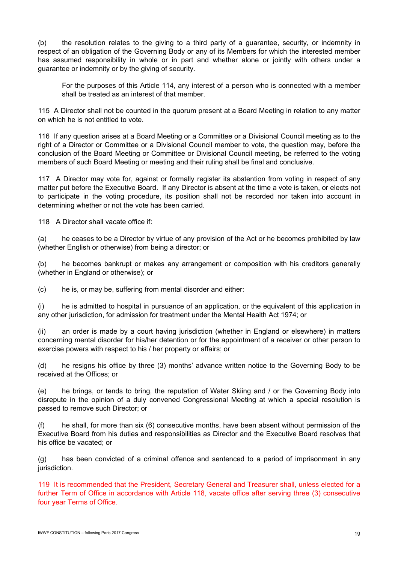(b) the resolution relates to the giving to a third party of a guarantee, security, or indemnity in respect of an obligation of the Governing Body or any of its Members for which the interested member has assumed responsibility in whole or in part and whether alone or jointly with others under a guarantee or indemnity or by the giving of security.

For the purposes of this Article 114, any interest of a person who is connected with a member shall be treated as an interest of that member.

115 A Director shall not be counted in the quorum present at a Board Meeting in relation to any matter on which he is not entitled to vote.

116 If any question arises at a Board Meeting or a Committee or a Divisional Council meeting as to the right of a Director or Committee or a Divisional Council member to vote, the question may, before the conclusion of the Board Meeting or Committee or Divisional Council meeting, be referred to the voting members of such Board Meeting or meeting and their ruling shall be final and conclusive.

117 A Director may vote for, against or formally register its abstention from voting in respect of any matter put before the Executive Board. If any Director is absent at the time a vote is taken, or elects not to participate in the voting procedure, its position shall not be recorded nor taken into account in determining whether or not the vote has been carried.

118 A Director shall vacate office if:

(a) he ceases to be a Director by virtue of any provision of the Act or he becomes prohibited by law (whether English or otherwise) from being a director; or

(b) he becomes bankrupt or makes any arrangement or composition with his creditors generally (whether in England or otherwise); or

(c) he is, or may be, suffering from mental disorder and either:

(i) he is admitted to hospital in pursuance of an application, or the equivalent of this application in any other jurisdiction, for admission for treatment under the Mental Health Act 1974; or

(ii) an order is made by a court having jurisdiction (whether in England or elsewhere) in matters concerning mental disorder for his/her detention or for the appointment of a receiver or other person to exercise powers with respect to his / her property or affairs; or

(d) he resigns his office by three (3) months' advance written notice to the Governing Body to be received at the Offices; or

(e) he brings, or tends to bring, the reputation of Water Skiing and / or the Governing Body into disrepute in the opinion of a duly convened Congressional Meeting at which a special resolution is passed to remove such Director; or

(f) he shall, for more than six (6) consecutive months, have been absent without permission of the Executive Board from his duties and responsibilities as Director and the Executive Board resolves that his office be vacated; or

(g) has been convicted of a criminal offence and sentenced to a period of imprisonment in any jurisdiction.

119 It is recommended that the President, Secretary General and Treasurer shall, unless elected for a further Term of Office in accordance with Article 118, vacate office after serving three (3) consecutive four year Terms of Office.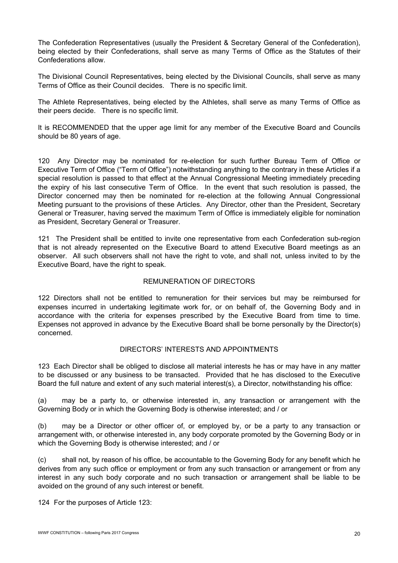The Confederation Representatives (usually the President & Secretary General of the Confederation), being elected by their Confederations, shall serve as many Terms of Office as the Statutes of their Confederations allow.

The Divisional Council Representatives, being elected by the Divisional Councils, shall serve as many Terms of Office as their Council decides. There is no specific limit.

The Athlete Representatives, being elected by the Athletes, shall serve as many Terms of Office as their peers decide. There is no specific limit.

It is RECOMMENDED that the upper age limit for any member of the Executive Board and Councils should be 80 years of age.

120 Any Director may be nominated for re-election for such further Bureau Term of Office or Executive Term of Office ("Term of Office") notwithstanding anything to the contrary in these Articles if a special resolution is passed to that effect at the Annual Congressional Meeting immediately preceding the expiry of his last consecutive Term of Office. In the event that such resolution is passed, the Director concerned may then be nominated for re-election at the following Annual Congressional Meeting pursuant to the provisions of these Articles. Any Director, other than the President, Secretary General or Treasurer, having served the maximum Term of Office is immediately eligible for nomination as President, Secretary General or Treasurer.

121 The President shall be entitled to invite one representative from each Confederation sub-region that is not already represented on the Executive Board to attend Executive Board meetings as an observer. All such observers shall not have the right to vote, and shall not, unless invited to by the Executive Board, have the right to speak.

### REMUNERATION OF DIRECTORS

122 Directors shall not be entitled to remuneration for their services but may be reimbursed for expenses incurred in undertaking legitimate work for, or on behalf of, the Governing Body and in accordance with the criteria for expenses prescribed by the Executive Board from time to time. Expenses not approved in advance by the Executive Board shall be borne personally by the Director(s) concerned.

#### DIRECTORS' INTERESTS AND APPOINTMENTS

123 Each Director shall be obliged to disclose all material interests he has or may have in any matter to be discussed or any business to be transacted. Provided that he has disclosed to the Executive Board the full nature and extent of any such material interest(s), a Director, notwithstanding his office:

(a) may be a party to, or otherwise interested in, any transaction or arrangement with the Governing Body or in which the Governing Body is otherwise interested; and / or

(b) may be a Director or other officer of, or employed by, or be a party to any transaction or arrangement with, or otherwise interested in, any body corporate promoted by the Governing Body or in which the Governing Body is otherwise interested; and / or

(c) shall not, by reason of his office, be accountable to the Governing Body for any benefit which he derives from any such office or employment or from any such transaction or arrangement or from any interest in any such body corporate and no such transaction or arrangement shall be liable to be avoided on the ground of any such interest or benefit.

124 For the purposes of Article 123: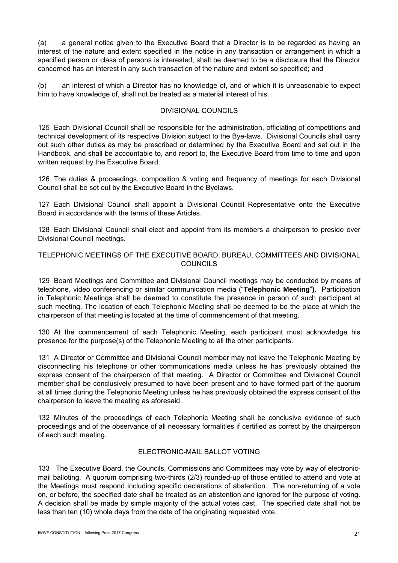(a) a general notice given to the Executive Board that a Director is to be regarded as having an interest of the nature and extent specified in the notice in any transaction or arrangement in which a specified person or class of persons is interested, shall be deemed to be a disclosure that the Director concerned has an interest in any such transaction of the nature and extent so specified; and

(b) an interest of which a Director has no knowledge of, and of which it is unreasonable to expect him to have knowledge of, shall not be treated as a material interest of his.

## DIVISIONAL COUNCILS

125 Each Divisional Council shall be responsible for the administration, officiating of competitions and technical development of its respective Division subject to the Bye-laws. Divisional Councils shall carry out such other duties as may be prescribed or determined by the Executive Board and set out in the Handbook, and shall be accountable to, and report to, the Executive Board from time to time and upon written request by the Executive Board.

126 The duties & proceedings, composition & voting and frequency of meetings for each Divisional Council shall be set out by the Executive Board in the Byelaws.

127 Each Divisional Council shall appoint a Divisional Council Representative onto the Executive Board in accordance with the terms of these Articles.

128 Each Divisional Council shall elect and appoint from its members a chairperson to preside over Divisional Council meetings.

### TELEPHONIC MEETINGS OF THE EXECUTIVE BOARD, BUREAU, COMMITTEES AND DIVISIONAL **COUNCILS**

129 Board Meetings and Committee and Divisional Council meetings may be conducted by means of telephone, video conferencing or similar communication media ("**Telephonic Meeting**"**)**. Participation in Telephonic Meetings shall be deemed to constitute the presence in person of such participant at such meeting. The location of each Telephonic Meeting shall be deemed to be the place at which the chairperson of that meeting is located at the time of commencement of that meeting.

130 At the commencement of each Telephonic Meeting, each participant must acknowledge his presence for the purpose(s) of the Telephonic Meeting to all the other participants.

131 A Director or Committee and Divisional Council member may not leave the Telephonic Meeting by disconnecting his telephone or other communications media unless he has previously obtained the express consent of the chairperson of that meeting. A Director or Committee and Divisional Council member shall be conclusively presumed to have been present and to have formed part of the quorum at all times during the Telephonic Meeting unless he has previously obtained the express consent of the chairperson to leave the meeting as aforesaid.

132 Minutes of the proceedings of each Telephonic Meeting shall be conclusive evidence of such proceedings and of the observance of all necessary formalities if certified as correct by the chairperson of each such meeting.

# ELECTRONIC-MAIL BALLOT VOTING

133 The Executive Board, the Councils, Commissions and Committees may vote by way of electronicmail balloting. A quorum comprising two-thirds (2/3) rounded-up of those entitled to attend and vote at the Meetings must respond including specific declarations of abstention. The non-returning of a vote on, or before, the specified date shall be treated as an abstention and ignored for the purpose of voting. A decision shall be made by simple majority of the actual votes cast. The specified date shall not be less than ten (10) whole days from the date of the originating requested vote.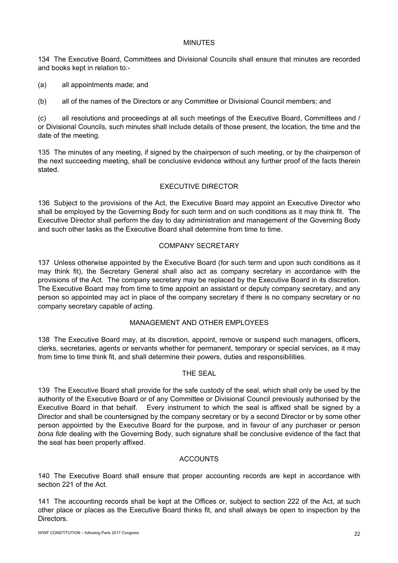### MINUTES

134 The Executive Board, Committees and Divisional Councils shall ensure that minutes are recorded and books kept in relation to:-

(a) all appointments made; and

(b) all of the names of the Directors or any Committee or Divisional Council members; and

(c) all resolutions and proceedings at all such meetings of the Executive Board, Committees and / or Divisional Councils, such minutes shall include details of those present, the location, the time and the date of the meeting.

135 The minutes of any meeting, if signed by the chairperson of such meeting, or by the chairperson of the next succeeding meeting, shall be conclusive evidence without any further proof of the facts therein stated.

### EXECUTIVE DIRECTOR

136 Subject to the provisions of the Act, the Executive Board may appoint an Executive Director who shall be employed by the Governing Body for such term and on such conditions as it may think fit. The Executive Director shall perform the day to day administration and management of the Governing Body and such other tasks as the Executive Board shall determine from time to time.

### COMPANY SECRETARY

137 Unless otherwise appointed by the Executive Board (for such term and upon such conditions as it may think fit), the Secretary General shall also act as company secretary in accordance with the provisions of the Act. The company secretary may be replaced by the Executive Board in its discretion. The Executive Board may from time to time appoint an assistant or deputy company secretary, and any person so appointed may act in place of the company secretary if there is no company secretary or no company secretary capable of acting.

# MANAGEMENT AND OTHER EMPLOYEES

138 The Executive Board may, at its discretion, appoint, remove or suspend such managers, officers, clerks, secretaries, agents or servants whether for permanent, temporary or special services, as it may from time to time think fit, and shall determine their powers, duties and responsibilities.

# THE SEAL

139 The Executive Board shall provide for the safe custody of the seal, which shall only be used by the authority of the Executive Board or of any Committee or Divisional Council previously authorised by the Executive Board in that behalf. Every instrument to which the seal is affixed shall be signed by a Director and shall be countersigned by the company secretary or by a second Director or by some other person appointed by the Executive Board for the purpose, and in favour of any purchaser or person *bona fide* dealing with the Governing Body, such signature shall be conclusive evidence of the fact that the seal has been properly affixed.

# **ACCOUNTS**

140 The Executive Board shall ensure that proper accounting records are kept in accordance with section 221 of the Act.

141 The accounting records shall be kept at the Offices or, subject to section 222 of the Act, at such other place or places as the Executive Board thinks fit, and shall always be open to inspection by the Directors.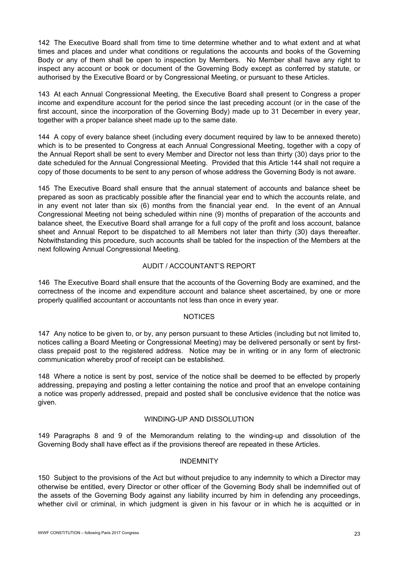142 The Executive Board shall from time to time determine whether and to what extent and at what times and places and under what conditions or regulations the accounts and books of the Governing Body or any of them shall be open to inspection by Members. No Member shall have any right to inspect any account or book or document of the Governing Body except as conferred by statute, or authorised by the Executive Board or by Congressional Meeting, or pursuant to these Articles.

143 At each Annual Congressional Meeting, the Executive Board shall present to Congress a proper income and expenditure account for the period since the last preceding account (or in the case of the first account, since the incorporation of the Governing Body) made up to 31 December in every year, together with a proper balance sheet made up to the same date.

144 A copy of every balance sheet (including every document required by law to be annexed thereto) which is to be presented to Congress at each Annual Congressional Meeting, together with a copy of the Annual Report shall be sent to every Member and Director not less than thirty (30) days prior to the date scheduled for the Annual Congressional Meeting. Provided that this Article 144 shall not require a copy of those documents to be sent to any person of whose address the Governing Body is not aware.

145 The Executive Board shall ensure that the annual statement of accounts and balance sheet be prepared as soon as practicably possible after the financial year end to which the accounts relate, and in any event not later than six (6) months from the financial year end. In the event of an Annual Congressional Meeting not being scheduled within nine (9) months of preparation of the accounts and balance sheet, the Executive Board shall arrange for a full copy of the profit and loss account, balance sheet and Annual Report to be dispatched to all Members not later than thirty (30) days thereafter. Notwithstanding this procedure, such accounts shall be tabled for the inspection of the Members at the next following Annual Congressional Meeting.

# AUDIT / ACCOUNTANT'S REPORT

146 The Executive Board shall ensure that the accounts of the Governing Body are examined, and the correctness of the income and expenditure account and balance sheet ascertained, by one or more properly qualified accountant or accountants not less than once in every year.

#### **NOTICES**

147 Any notice to be given to, or by, any person pursuant to these Articles (including but not limited to, notices calling a Board Meeting or Congressional Meeting) may be delivered personally or sent by firstclass prepaid post to the registered address. Notice may be in writing or in any form of electronic communication whereby proof of receipt can be established.

148 Where a notice is sent by post, service of the notice shall be deemed to be effected by properly addressing, prepaying and posting a letter containing the notice and proof that an envelope containing a notice was properly addressed, prepaid and posted shall be conclusive evidence that the notice was given.

#### WINDING-UP AND DISSOLUTION

149 Paragraphs 8 and 9 of the Memorandum relating to the winding-up and dissolution of the Governing Body shall have effect as if the provisions thereof are repeated in these Articles.

#### **INDEMNITY**

150 Subject to the provisions of the Act but without prejudice to any indemnity to which a Director may otherwise be entitled, every Director or other officer of the Governing Body shall be indemnified out of the assets of the Governing Body against any liability incurred by him in defending any proceedings, whether civil or criminal, in which judgment is given in his favour or in which he is acquitted or in